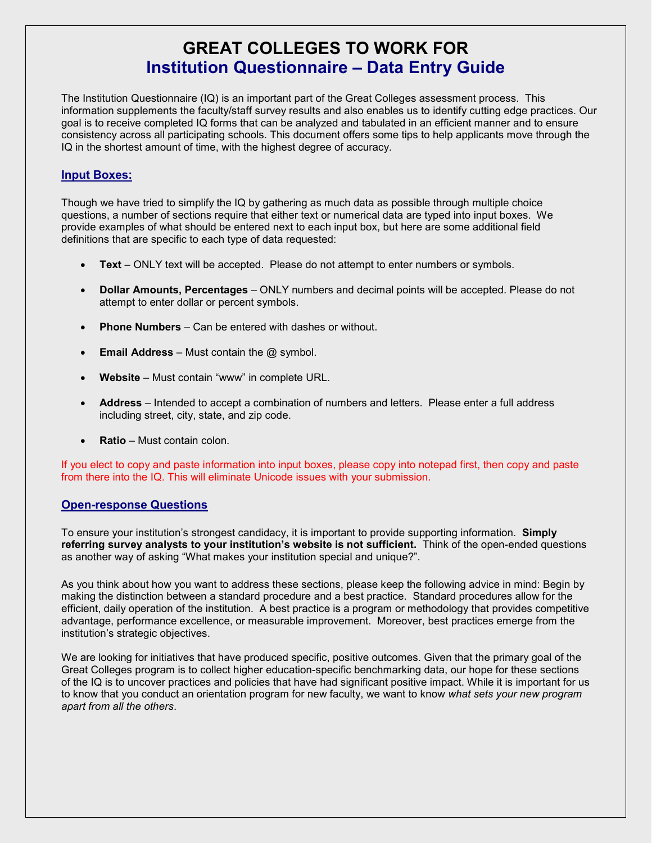# **GREAT COLLEGES TO WORK FOR Institution Questionnaire – Data Entry Guide**

The Institution Questionnaire (IQ) is an important part of the Great Colleges assessment process. This information supplements the faculty/staff survey results and also enables us to identify cutting edge practices. Our goal is to receive completed IQ forms that can be analyzed and tabulated in an efficient manner and to ensure consistency across all participating schools. This document offers some tips to help applicants move through the IQ in the shortest amount of time, with the highest degree of accuracy.

# **Input Boxes:**

Though we have tried to simplify the IQ by gathering as much data as possible through multiple choice questions, a number of sections require that either text or numerical data are typed into input boxes. We provide examples of what should be entered next to each input box, but here are some additional field definitions that are specific to each type of data requested:

- **Text** ONLY text will be accepted. Please do not attempt to enter numbers or symbols.
- **Dollar Amounts, Percentages**  ONLY numbers and decimal points will be accepted. Please do not attempt to enter dollar or percent symbols.
- **Phone Numbers** Can be entered with dashes or without.
- **Email Address** Must contain the @ symbol.
- **Website** Must contain "www" in complete URL.
- **Address** Intended to accept a combination of numbers and letters. Please enter a full address including street, city, state, and zip code.
- **Ratio**  Must contain colon.

If you elect to copy and paste information into input boxes, please copy into notepad first, then copy and paste from there into the IQ. This will eliminate Unicode issues with your submission.

## **Open-response Questions**

To ensure your institution's strongest candidacy, it is important to provide supporting information. **Simply referring survey analysts to your institution's website is not sufficient.** Think of the open-ended questions as another way of asking "What makes your institution special and unique?".

As you think about how you want to address these sections, please keep the following advice in mind: Begin by making the distinction between a standard procedure and a best practice. Standard procedures allow for the efficient, daily operation of the institution. A best practice is a program or methodology that provides competitive advantage, performance excellence, or measurable improvement. Moreover, best practices emerge from the institution's strategic objectives.

We are looking for initiatives that have produced specific, positive outcomes. Given that the primary goal of the Great Colleges program is to collect higher education-specific benchmarking data, our hope for these sections of the IQ is to uncover practices and policies that have had significant positive impact. While it is important for us to know that you conduct an orientation program for new faculty, we want to know *what sets your new program apart from all the others*.